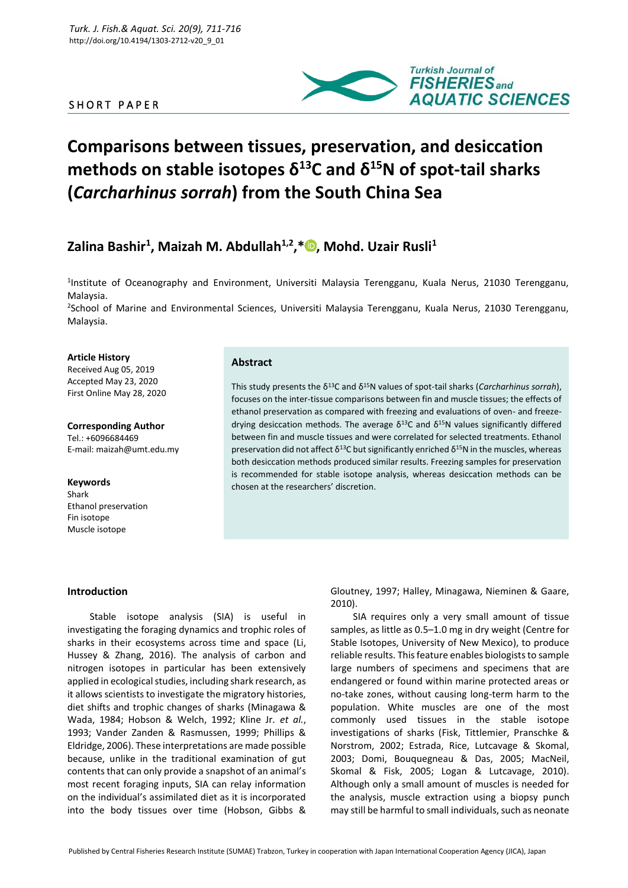# SHORT PAPER



# **Comparisons between tissues, preservation, and desiccation methods on stable isotopes δ<sup>13</sup>C and δ<sup>15</sup>N of spot-tail sharks (***Carcharhinus sorrah***) from the South China Sea**

# **Zalina Bashir<sup>1</sup> , Maizah M. Abdullah1,2,\* [,](https://orcid.org/0000-0001-7701-6623) Mohd. Uzair Rusli<sup>1</sup>**

<sup>1</sup>Institute of Oceanography and Environment, Universiti Malaysia Terengganu, Kuala Nerus, 21030 Terengganu, Malaysia.

2 School of Marine and Environmental Sciences, Universiti Malaysia Terengganu, Kuala Nerus, 21030 Terengganu, Malaysia.

#### **Article History**

Received Aug 05, 2019 Accepted May 23, 2020 First Online May 28, 2020

**Corresponding Author** Tel.: +6096684469 E-mail: maizah@umt.edu.my

**Keywords** Shark Ethanol preservation Fin isotope Muscle isotope

#### **Abstract**

This study presents the  $\delta^{13}$ C and  $\delta^{15}$ N values of spot-tail sharks (*Carcharhinus sorrah*), focuses on the inter-tissue comparisons between fin and muscle tissues; the effects of ethanol preservation as compared with freezing and evaluations of oven- and freezedrying desiccation methods. The average  $\delta^{13}$ C and  $\delta^{15}$ N values significantly differed between fin and muscle tissues and were correlated for selected treatments. Ethanol preservation did not affect δ<sup>13</sup>C but significantly enriched δ<sup>15</sup>N in the muscles, whereas both desiccation methods produced similar results. Freezing samples for preservation is recommended for stable isotope analysis, whereas desiccation methods can be chosen at the researchers' discretion.

#### **Introduction**

Stable isotope analysis (SIA) is useful in investigating the foraging dynamics and trophic roles of sharks in their ecosystems across time and space (Li, Hussey & Zhang, 2016). The analysis of carbon and nitrogen isotopes in particular has been extensively applied in ecological studies, including shark research, as it allows scientists to investigate the migratory histories, diet shifts and trophic changes of sharks (Minagawa & Wada, 1984; Hobson & Welch, 1992; Kline Jr. *et al.*, 1993; Vander Zanden & Rasmussen, 1999; Phillips & Eldridge, 2006). These interpretations are made possible because, unlike in the traditional examination of gut contents that can only provide a snapshot of an animal's most recent foraging inputs, SIA can relay information on the individual's assimilated diet as it is incorporated into the body tissues over time (Hobson, Gibbs & Gloutney, 1997; Halley, Minagawa, Nieminen & Gaare, 2010).

SIA requires only a very small amount of tissue samples, as little as 0.5–1.0 mg in dry weight (Centre for Stable Isotopes, University of New Mexico), to produce reliable results. This feature enables biologists to sample large numbers of specimens and specimens that are endangered or found within marine protected areas or no-take zones, without causing long-term harm to the population. White muscles are one of the most commonly used tissues in the stable isotope investigations of sharks (Fisk, Tittlemier, Pranschke & Norstrom, 2002; Estrada, Rice, Lutcavage & Skomal, 2003; Domi, Bouquegneau & Das, 2005; MacNeil, Skomal & Fisk, 2005; Logan & Lutcavage, 2010). Although only a small amount of muscles is needed for the analysis, muscle extraction using a biopsy punch may still be harmful to small individuals, such as neonate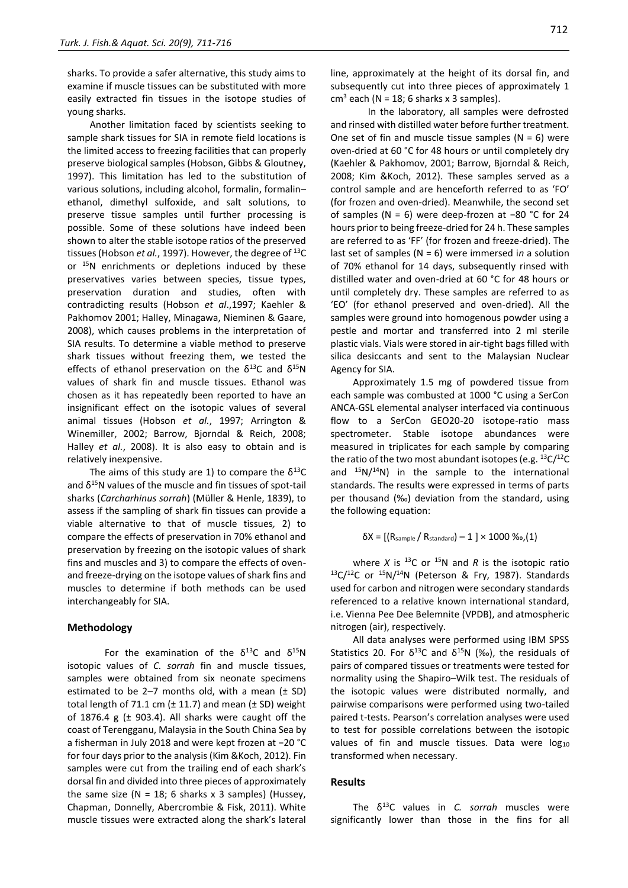sharks. To provide a safer alternative, this study aims to examine if muscle tissues can be substituted with more easily extracted fin tissues in the isotope studies of young sharks.

Another limitation faced by scientists seeking to sample shark tissues for SIA in remote field locations is the limited access to freezing facilities that can properly preserve biological samples (Hobson, Gibbs & Gloutney, 1997). This limitation has led to the substitution of various solutions, including alcohol, formalin, formalin– ethanol, dimethyl sulfoxide, and salt solutions, to preserve tissue samples until further processing is possible. Some of these solutions have indeed been shown to alter the stable isotope ratios of the preserved tissues (Hobson *et al.*, 1997). However, the degree of <sup>13</sup>C or <sup>15</sup>N enrichments or depletions induced by these preservatives varies between species, tissue types, preservation duration and studies, often with contradicting results (Hobson *et al*.,1997; Kaehler & Pakhomov 2001; Halley, Minagawa, Nieminen & Gaare, 2008), which causes problems in the interpretation of SIA results. To determine a viable method to preserve shark tissues without freezing them, we tested the effects of ethanol preservation on the  $\delta^{13}$ C and  $\delta^{15}$ N values of shark fin and muscle tissues. Ethanol was chosen as it has repeatedly been reported to have an insignificant effect on the isotopic values of several animal tissues (Hobson *et al.*, 1997; Arrington & Winemiller, 2002; Barrow, Bjorndal & Reich, 2008; Halley *et al.*, 2008). It is also easy to obtain and is relatively inexpensive.

The aims of this study are 1) to compare the  $\delta^{13}C$ and  $\delta^{15}$ N values of the muscle and fin tissues of spot-tail sharks (*Carcharhinus sorrah*) (Müller & Henle, 1839), to assess if the sampling of shark fin tissues can provide a viable alternative to that of muscle tissues*,* 2) to compare the effects of preservation in 70% ethanol and preservation by freezing on the isotopic values of shark fins and muscles and 3) to compare the effects of ovenand freeze-drying on the isotope values of shark fins and muscles to determine if both methods can be used interchangeably for SIA.

### **Methodology**

For the examination of the  $\delta^{13}$ C and  $\delta^{15}$ N isotopic values of *C. sorrah* fin and muscle tissues, samples were obtained from six neonate specimens estimated to be 2-7 months old, with a mean  $(± SD)$ total length of 71.1 cm  $(\pm 11.7)$  and mean  $(\pm SD)$  weight of 1876.4 g  $(± 903.4)$ . All sharks were caught off the coast of Terengganu, Malaysia in the South China Sea by a fisherman in July 2018 and were kept frozen at −20 °C for four days prior to the analysis (Kim &Koch, 2012). Fin samples were cut from the trailing end of each shark's dorsal fin and divided into three pieces of approximately the same size ( $N = 18$ ; 6 sharks x 3 samples) (Hussey, Chapman, Donnelly, Abercrombie & Fisk, 2011). White muscle tissues were extracted along the shark's lateral line, approximately at the height of its dorsal fin, and subsequently cut into three pieces of approximately 1  $cm<sup>3</sup>$  each (N = 18; 6 sharks x 3 samples).

In the laboratory, all samples were defrosted and rinsed with distilled water before further treatment. One set of fin and muscle tissue samples ( $N = 6$ ) were oven-dried at 60 °C for 48 hours or until completely dry (Kaehler & Pakhomov, 2001; Barrow, Bjorndal & Reich, 2008; Kim &Koch, 2012). These samples served as a control sample and are henceforth referred to as 'FO' (for frozen and oven-dried). Meanwhile, the second set of samples (N = 6) were deep-frozen at −80 °C for 24 hours prior to being freeze-dried for 24 h. These samples are referred to as 'FF' (for frozen and freeze-dried). The last set of samples (N = 6) were immersed i*n* a solution of 70% ethanol for 14 days, subsequently rinsed with distilled water and oven-dried at 60 °C for 48 hours or until completely dry. These samples are referred to as 'EO' (for ethanol preserved and oven-dried). All the samples were ground into homogenous powder using a pestle and mortar and transferred into 2 ml sterile plastic vials. Vials were stored in air-tight bags filled with silica desiccants and sent to the Malaysian Nuclear Agency for SIA.

Approximately 1.5 mg of powdered tissue from each sample was combusted at 1000 °C using a SerCon ANCA-GSL elemental analyser interfaced via continuous flow to a SerCon GEO20-20 isotope-ratio mass spectrometer. Stable isotope abundances were measured in triplicates for each sample by comparing the ratio of the two most abundant isotopes (e.g.  ${}^{13}C/{}^{12}C$ and  $15N/14N$ ) in the sample to the international standards. The results were expressed in terms of parts per thousand (‰) deviation from the standard, using the following equation:

$$
\delta X = \left[ \left( \text{R}_{\text{sample}} / \text{R}_{\text{standard}} \right) - 1 \right] \times 1000 \, \%_{o} \tag{1}
$$

where *X* is  $^{13}$ C or  $^{15}$ N and *R* is the isotopic ratio 13C/<sup>12</sup>C or <sup>15</sup>N/<sup>14</sup>N (Peterson & Fry, 1987). Standards used for carbon and nitrogen were secondary standards referenced to a relative known international standard, i.e. Vienna Pee Dee Belemnite (VPDB), and atmospheric nitrogen (air), respectively.

All data analyses were performed using IBM SPSS Statistics 20. For  $\delta^{13}C$  and  $\delta^{15}N$  (‰), the residuals of pairs of compared tissues or treatments were tested for normality using the Shapiro–Wilk test. The residuals of the isotopic values were distributed normally, and pairwise comparisons were performed using two-tailed paired t-tests. Pearson's correlation analyses were used to test for possible correlations between the isotopic values of fin and muscle tissues. Data were  $log_{10}$ transformed when necessary.

#### **Results**

The δ<sup>13</sup>C values in *C. sorrah* muscles were significantly lower than those in the fins for all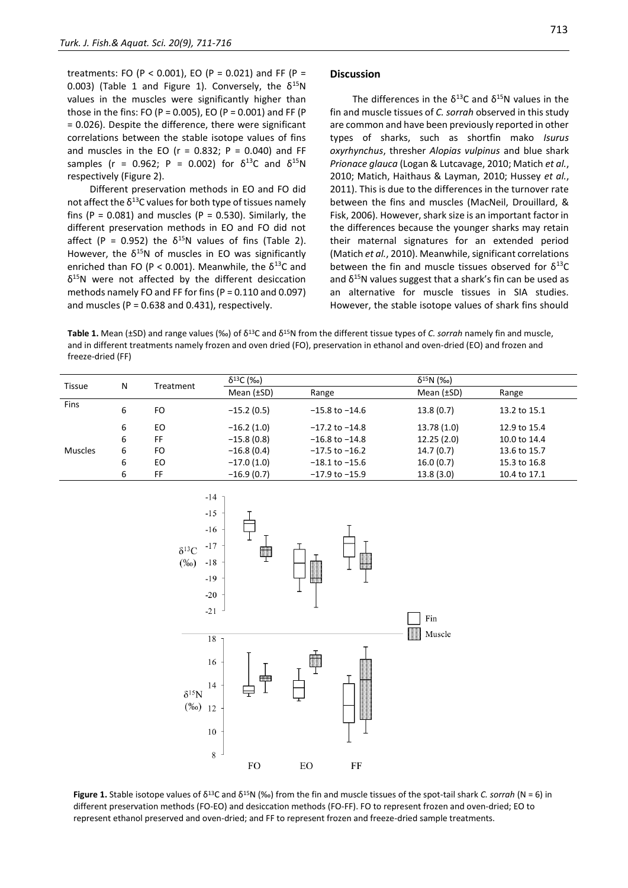treatments: FO (P < 0.001), EO (P = 0.021) and FF (P = 0.003) (Table 1 and Figure 1). Conversely, the  $\delta^{15}N$ values in the muscles were significantly higher than those in the fins: FO (P = 0.005), EO (P = 0.001) and FF (P = 0.026). Despite the difference, there were significant correlations between the stable isotope values of fins and muscles in the EO ( $r = 0.832$ ;  $P = 0.040$ ) and FF samples (r = 0.962; P = 0.002) for  $\delta^{13}$ C and  $\delta^{15}$ N respectively (Figure 2).

Different preservation methods in EO and FO did not affect the  $\delta^{13}$ C values for both type of tissues namely fins (P = 0.081) and muscles (P = 0.530). Similarly, the different preservation methods in EO and FO did not affect (P = 0.952) the  $\delta^{15}N$  values of fins (Table 2). However, the  $\delta^{15}N$  of muscles in EO was significantly enriched than FO (P < 0.001). Meanwhile, the  $\delta^{13}$ C and  $\delta^{15}$ N were not affected by the different desiccation methods namely FO and FF for fins (P = 0.110 and 0.097) and muscles ( $P = 0.638$  and 0.431), respectively.

#### **Discussion**

The differences in the  $\delta^{13}$ C and  $\delta^{15}$ N values in the fin and muscle tissues of *C. sorrah* observed in this study are common and have been previously reported in other types of sharks, such as shortfin mako *Isurus oxyrhynchus*, thresher *Alopias vulpinus* and blue shark *Prionace glauca* (Logan & Lutcavage, 2010; Matich *et al.*, 2010; Matich, Haithaus & Layman, 2010; Hussey *et al.*, 2011). This is due to the differences in the turnover rate between the fins and muscles (MacNeil, Drouillard, & Fisk, 2006). However, shark size is an important factor in the differences because the younger sharks may retain their maternal signatures for an extended period (Matich *et al.*, 2010). Meanwhile, significant correlations between the fin and muscle tissues observed for  $\delta^{13}C$ and  $\delta^{15}$ N values suggest that a shark's fin can be used as an alternative for muscle tissues in SIA studies. However, the stable isotope values of shark fins should

**Table 1.** Mean (±SD) and range values (‰) of  $\delta^{13}$ C and  $\delta^{15}$ N from the different tissue types of *C. sorrah* namely fin and muscle, and in different treatments namely frozen and oven dried (FO), preservation in ethanol and oven-dried (EO) and frozen and freeze-dried (FF)

| Tissue  | N | Treatment | $δ13$ C (‰)     |                    | $\delta^{15}N$ (%o) |              |  |
|---------|---|-----------|-----------------|--------------------|---------------------|--------------|--|
|         |   |           | Mean $(\pm SD)$ | Range              | Mean $(\pm SD)$     | Range        |  |
| Fins    | 6 | FO        | $-15.2(0.5)$    | $-15.8$ to $-14.6$ | 13.8(0.7)           | 13.2 to 15.1 |  |
|         | 6 | EO        | $-16.2(1.0)$    | $-17.2$ to $-14.8$ | 13.78 (1.0)         | 12.9 to 15.4 |  |
|         | 6 | FF        | $-15.8(0.8)$    | $-16.8$ to $-14.8$ | 12.25(2.0)          | 10.0 to 14.4 |  |
| Muscles | 6 | FO        | $-16.8(0.4)$    | $-17.5$ to $-16.2$ | 14.7(0.7)           | 13.6 to 15.7 |  |
|         | 6 | ΕO        | $-17.0(1.0)$    | $-18.1$ to $-15.6$ | 16.0(0.7)           | 15.3 to 16.8 |  |
|         | 6 | FF        | $-16.9(0.7)$    | $-17.9$ to $-15.9$ | 13.8(3.0)           | 10.4 to 17.1 |  |



**Figure 1.** Stable isotope values of δ<sup>13</sup>C and δ<sup>15</sup>N (‰) from the fin and muscle tissues of the spot-tail shark *C. sorrah* (N = 6) in different preservation methods (FO-EO) and desiccation methods (FO-FF). FO to represent frozen and oven-dried; EO to represent ethanol preserved and oven-dried; and FF to represent frozen and freeze-dried sample treatments.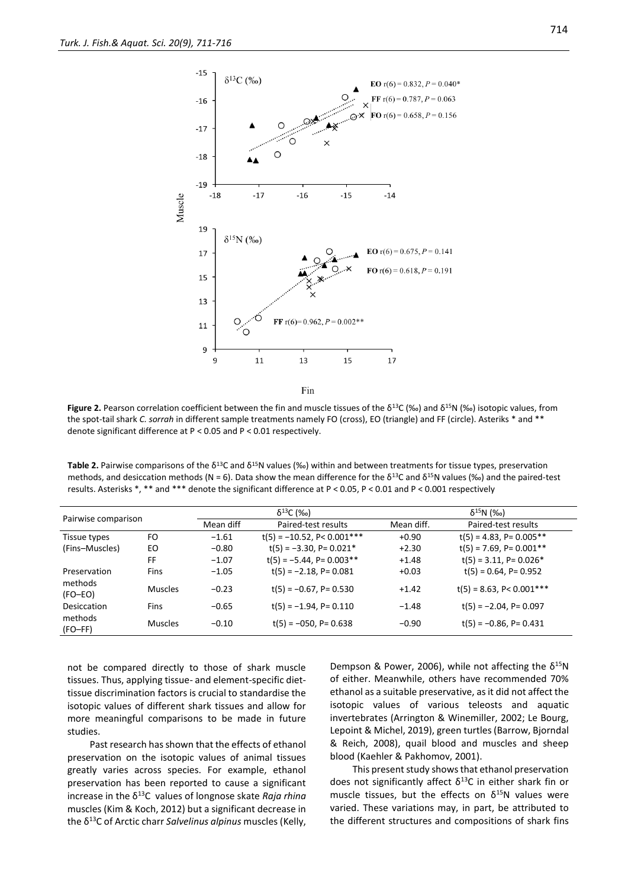

Fin

**Figure 2.** Pearson correlation coefficient between the fin and muscle tissues of the δ<sup>13</sup>C (‰) and δ<sup>15</sup>N (‰) isotopic values, from the spot-tail shark *C. sorrah* in different sample treatments namely FO (cross), EO (triangle) and FF (circle). Asteriks \* and \*\* denote significant difference at P < 0.05 and P < 0.01 respectively.

**Table 2.** Pairwise comparisons of the δ<sup>13</sup>C and δ<sup>15</sup>N values (‰) within and between treatments for tissue types, preservation methods, and desiccation methods (N = 6). Data show the mean difference for the  $\delta^{13}$ C and  $\delta^{15}$ N values (‰) and the paired-test results. Asterisks \*, \*\* and \*\*\* denote the significant difference at P < 0.05, P < 0.01 and P < 0.001 respectively

|                      |                | $\delta^{13}C$ (‰) |                                 | $\delta^{15}N$ (‰) |                                       |  |
|----------------------|----------------|--------------------|---------------------------------|--------------------|---------------------------------------|--|
| Pairwise comparison  |                | Mean diff          | Paired-test results             | Mean diff.         | Paired-test results                   |  |
| Tissue types         | FO             | $-1.61$            | $t(5) = -10.52$ , P< $0.001***$ | $+0.90$            | $t(5) = 4.83$ , P= 0.005**            |  |
| (Fins-Muscles)       | EO             | $-0.80$            | $t(5) = -3.30$ , P= 0.021*      | $+2.30$            | $t(5) = 7.69$ , P= 0.001**            |  |
|                      | FF             | $-1.07$            | $t(5) = -5.44$ , P= 0.003**     | $+1.48$            | $t(5) = 3.11$ , P= 0.026 <sup>*</sup> |  |
| Preservation         | <b>Fins</b>    | $-1.05$            | $t(5) = -2.18$ , P= 0.081       | $+0.03$            | $t(5) = 0.64$ , P= 0.952              |  |
| methods<br>$(FO-EO)$ | <b>Muscles</b> | $-0.23$            | $t(5) = -0.67$ , P= 0.530       | $+1.42$            | $t(5) = 8.63$ , P< 0.001***           |  |
| Desiccation          | <b>Fins</b>    | $-0.65$            | $t(5) = -1.94$ , P= 0.110       | $-1.48$            | $t(5) = -2.04$ , P= 0.097             |  |
| methods<br>$(FO-FF)$ | <b>Muscles</b> | $-0.10$            | $t(5) = -050$ , P= 0.638        | $-0.90$            | $t(5) = -0.86$ , P= 0.431             |  |

not be compared directly to those of shark muscle tissues. Thus, applying tissue- and element-specific diettissue discrimination factors is crucial to standardise the isotopic values of different shark tissues and allow for more meaningful comparisons to be made in future studies.

Past research has shown that the effects of ethanol preservation on the isotopic values of animal tissues greatly varies across species. For example, ethanol preservation has been reported to cause a significant increase in the δ<sup>13</sup>C values of longnose skate *Raja rhina* muscles (Kim & Koch, 2012) but a significant decrease in the δ<sup>13</sup>C of Arctic charr *Salvelinus alpinus* muscles (Kelly,

Dempson & Power, 2006), while not affecting the  $\delta^{15}N$ of either. Meanwhile, others have recommended 70% ethanol as a suitable preservative, as it did not affect the isotopic values of various teleosts and aquatic invertebrates (Arrington & Winemiller, 2002; Le Bourg, Lepoint & Michel, 2019), green turtles (Barrow, Bjorndal & Reich, 2008), quail blood and muscles and sheep blood (Kaehler & Pakhomov, 2001).

This present study shows that ethanol preservation does not significantly affect  $\delta^{13}$ C in either shark fin or muscle tissues, but the effects on  $\delta^{15}N$  values were varied. These variations may, in part, be attributed to the different structures and compositions of shark fins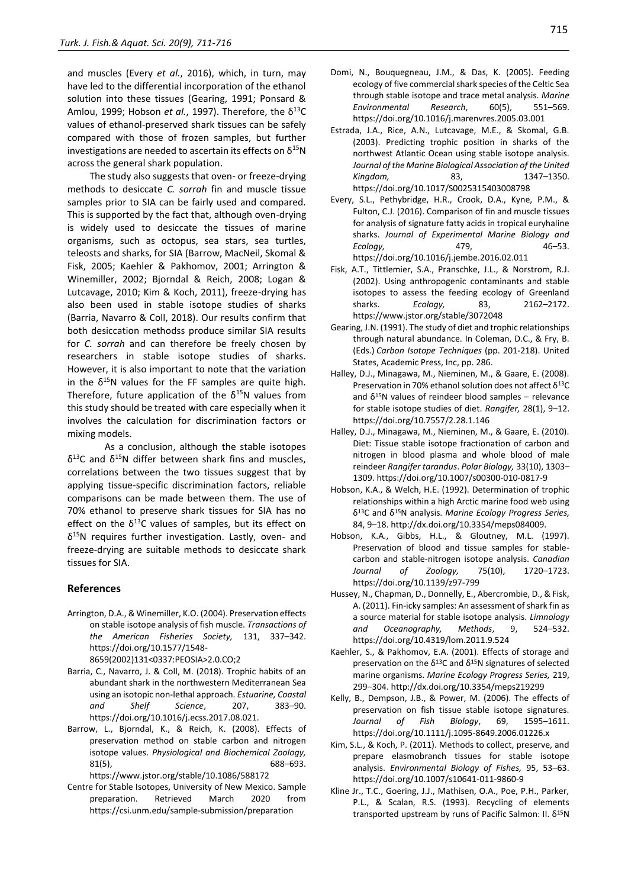and muscles (Every *et al.*, 2016), which, in turn, may have led to the differential incorporation of the ethanol solution into these tissues (Gearing, 1991; Ponsard & Amlou, 1999; Hobson *et al.*, 1997). Therefore, the δ<sup>13</sup>C values of ethanol-preserved shark tissues can be safely compared with those of frozen samples, but further investigations are needed to ascertain its effects on  $\delta^{15}N$ across the general shark population.

The study also suggests that oven- or freeze-drying methods to desiccate *C. sorrah* fin and muscle tissue samples prior to SIA can be fairly used and compared. This is supported by the fact that, although oven-drying is widely used to desiccate the tissues of marine organisms, such as octopus, sea stars, sea turtles, teleosts and sharks, for SIA (Barrow, MacNeil, Skomal & Fisk, 2005; Kaehler & Pakhomov, 2001; Arrington & Winemiller, 2002; Bjorndal & Reich, 2008; Logan & Lutcavage, 2010; Kim & Koch, 2011), freeze-drying has also been used in stable isotope studies of sharks (Barria, Navarro & Coll, 2018). Our results confirm that both desiccation methodss produce similar SIA results for *C. sorrah* and can therefore be freely chosen by researchers in stable isotope studies of sharks. However, it is also important to note that the variation in the  $\delta^{15}N$  values for the FF samples are quite high. Therefore, future application of the  $\delta^{15}N$  values from this study should be treated with care especially when it involves the calculation for discrimination factors or mixing models.

As a conclusion, although the stable isotopes  $δ<sup>13</sup>C$  and  $δ<sup>15</sup>N$  differ between shark fins and muscles, correlations between the two tissues suggest that by applying tissue-specific discrimination factors, reliable comparisons can be made between them. The use of 70% ethanol to preserve shark tissues for SIA has no effect on the  $\delta^{13}$ C values of samples, but its effect on δ <sup>15</sup>N requires further investigation. Lastly, oven- and freeze-drying are suitable methods to desiccate shark tissues for SIA.

## **References**

Arrington, D.A., & Winemiller, K.O. (2004). Preservation effects on stable isotope analysis of fish muscle. *Transactions of the American Fisheries Society,* 131, 337–342. https://doi.org/10.1577/1548-

8659(2002)131<0337:PEOSIA>2.0.CO;2

- Barria, C., Navarro, J. & Coll, M. (2018). Trophic habits of an abundant shark in the northwestern Mediterranean Sea using an isotopic non-lethal approach. *Estuarine, Coastal and Shelf Science*, 207, 383–90. https://doi.org/10.1016/j.ecss.2017.08.021.
- Barrow, L., Bjorndal, K., & Reich, K. (2008). Effects of preservation method on stable carbon and nitrogen isotope values. *Physiological and Biochemical Zoology,* 81(5), 688–693. https://www.jstor.org/stable/10.1086/588172
- Centre for Stable Isotopes, University of New Mexico. Sample preparation. Retrieved March 2020 from https://csi.unm.edu/sample-submission/preparation
- https://doi.org/10.1016/j.marenvres.2005.03.001 Estrada, J.A., Rice, A.N., Lutcavage, M.E., & Skomal, G.B. (2003). Predicting trophic position in sharks of the northwest Atlantic Ocean using stable isotope analysis. *Journal of the Marine Biological Association of the United Kingdom,* 83, 1347–1350. https://doi.org/10.1017/S0025315403008798
- Every, S.L., Pethybridge, H.R., Crook, D.A., Kyne, P.M., & Fulton, C.J. (2016). Comparison of fin and muscle tissues for analysis of signature fatty acids in tropical euryhaline sharks. *Journal of Experimental Marine Biology and Ecology,* 479, 46–53. https://doi.org/10.1016/j.jembe.2016.02.011
- Fisk, A.T., Tittlemier, S.A., Pranschke, J.L., & Norstrom, R.J. (2002). Using anthropogenic contaminants and stable isotopes to assess the feeding ecology of Greenland sharks. *Ecology,* 83, 2162–2172. https://www.jstor.org/stable/3072048
- Gearing, J.N. (1991). The study of diet and trophic relationships through natural abundance. In Coleman, D.C., & Fry, B. (Eds.) *Carbon Isotope Techniques* (pp. 201-218). United States, Academic Press, Inc, pp. 286.
- Halley, D.J., Minagawa, M., Nieminen, M., & Gaare, E. (2008). Preservation in 70% ethanol solution does not affect  $δ<sup>13</sup>C$ and  $\delta^{15}$ N values of reindeer blood samples – relevance for stable isotope studies of diet. *Rangifer,* 28(1), 9–12. https://doi.org/10.7557/2.28.1.146
- Halley, D.J., Minagawa, M., Nieminen, M., & Gaare, E. (2010). Diet: Tissue stable isotope fractionation of carbon and nitrogen in blood plasma and whole blood of male reindeer *Rangifer tarandus*. *Polar Biology,* 33(10), 1303– 1309. https://doi.org/10.1007/s00300-010-0817-9
- Hobson, K.A., & Welch, H.E. (1992). Determination of trophic relationships within a high Arctic marine food web using δ <sup>13</sup>C and δ<sup>15</sup>N analysis. *Marine Ecology Progress Series,* 84, 9–18. http://dx.doi.org/10.3354/meps084009.
- Hobson, K.A., Gibbs, H.L., & Gloutney, M.L. (1997). Preservation of blood and tissue samples for stablecarbon and stable-nitrogen isotope analysis. *Canadian Journal of Zoology,* 75(10), 1720–1723. https://doi.org/10.1139/z97-799
- Hussey, N., Chapman, D., Donnelly, E., Abercrombie, D., & Fisk, A. (2011). Fin-icky samples: An assessment of shark fin as a source material for stable isotope analysis. *Limnology and Oceanography, Methods*, 9, 524–532. https://doi.org/10.4319/lom.2011.9.524
- Kaehler, S., & Pakhomov, E.A. (2001). Effects of storage and preservation on the  $δ<sup>13</sup>C$  and  $δ<sup>15</sup>N$  signatures of selected marine organisms. *Marine Ecology Progress Series,* 219, 299–304. http://dx.doi.org/10.3354/meps219299
- Kelly, B., Dempson, J.B., & Power, M. (2006). The effects of preservation on fish tissue stable isotope signatures. *Journal of Fish Biology*, 69, 1595–1611. https://doi.org/10.1111/j.1095-8649.2006.01226.x
- Kim, S.L., & Koch, P. (2011). Methods to collect, preserve, and prepare elasmobranch tissues for stable isotope analysis. *Environmental Biology of Fishes,* 95, 53–63. https://doi.org/10.1007/s10641-011-9860-9
- Kline Jr., T.C., Goering, J.J., Mathisen, O.A., Poe, P.H., Parker, P.L., & Scalan, R.S. (1993). Recycling of elements transported upstream by runs of Pacific Salmon: II. δ15N